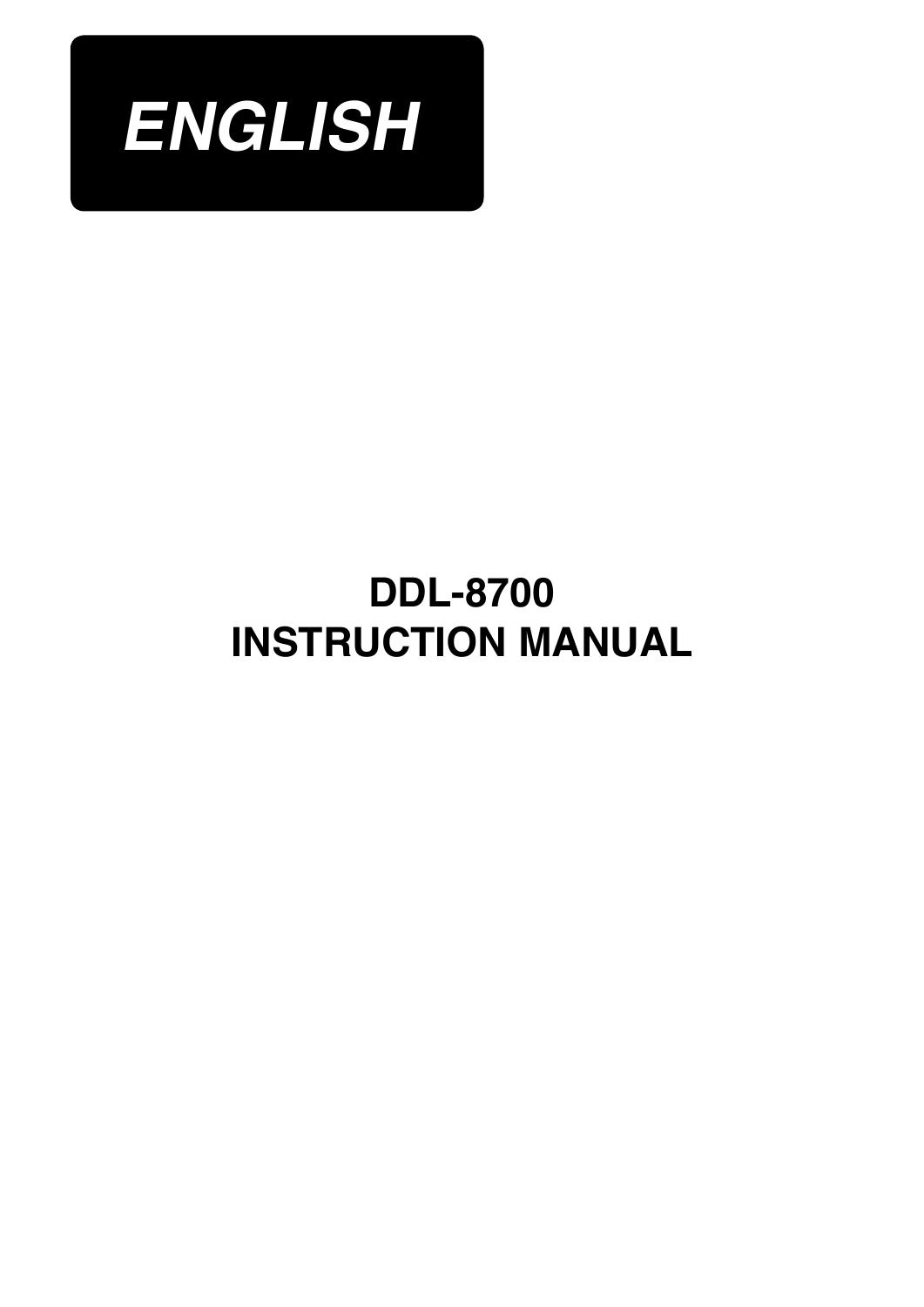

# **Instruction Manual DDL-8700**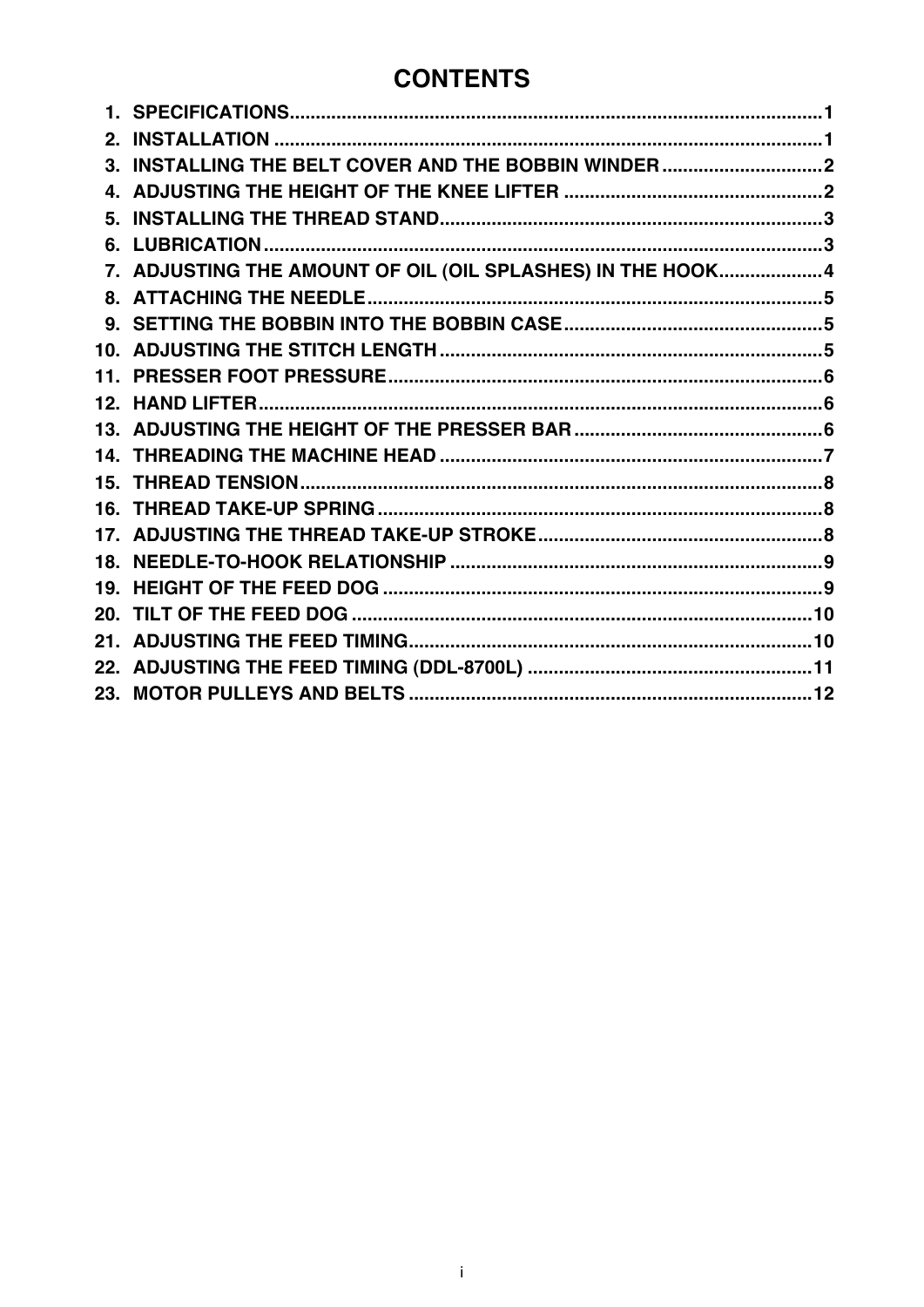## **CONTENTS**

| 3. INSTALLING THE BELT COVER AND THE BOBBIN WINDER  2      |  |
|------------------------------------------------------------|--|
|                                                            |  |
|                                                            |  |
|                                                            |  |
| 7. ADJUSTING THE AMOUNT OF OIL (OIL SPLASHES) IN THE HOOK4 |  |
|                                                            |  |
|                                                            |  |
|                                                            |  |
|                                                            |  |
|                                                            |  |
|                                                            |  |
|                                                            |  |
|                                                            |  |
|                                                            |  |
|                                                            |  |
|                                                            |  |
|                                                            |  |
|                                                            |  |
|                                                            |  |
|                                                            |  |
|                                                            |  |
|                                                            |  |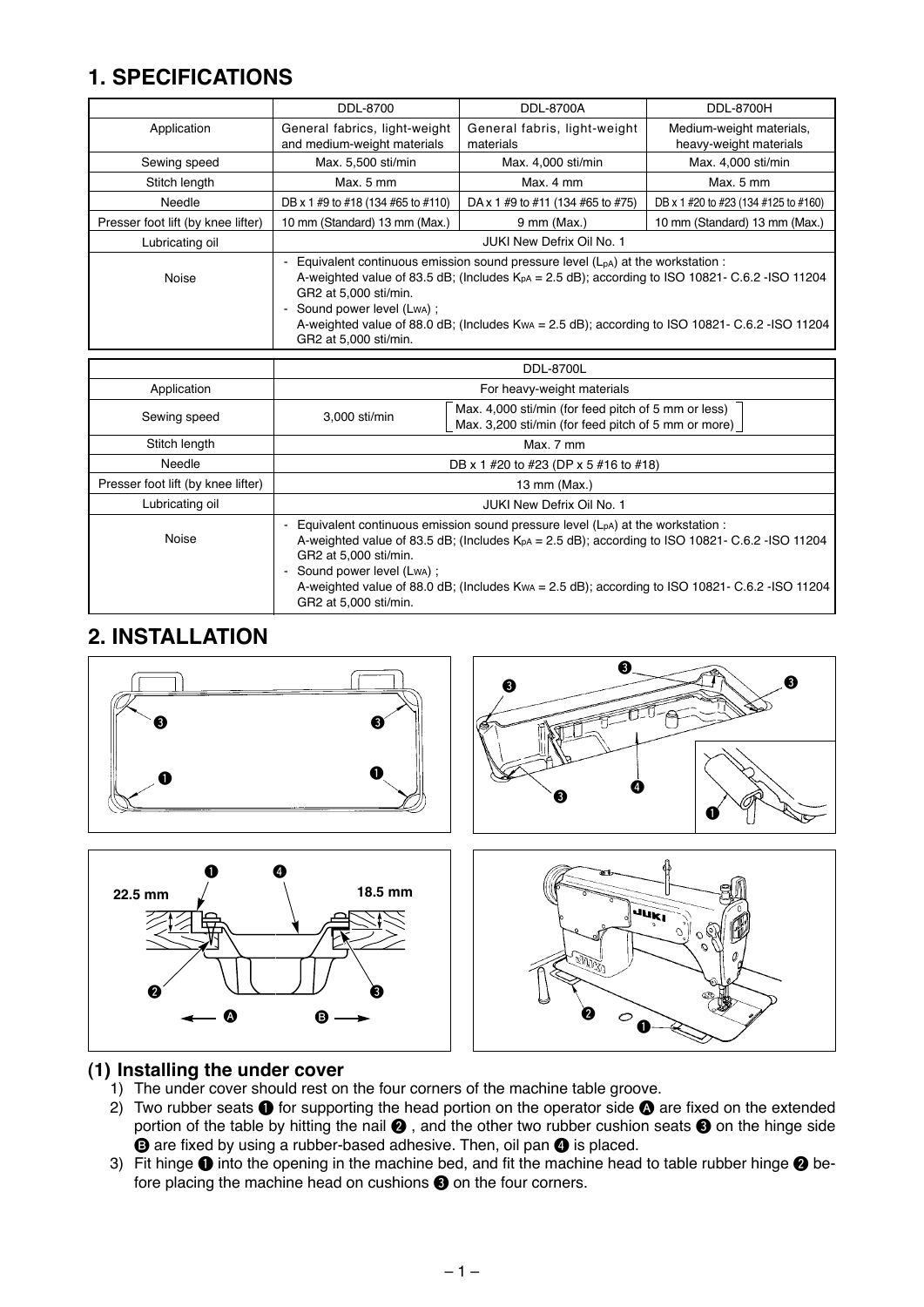### <span id="page-2-0"></span>**1. SPECIFICATIONS**

|                                                                                                                                                                                                                                                                                                                                                                                    | DDL-8700                                                     | DDL-8700A                                 | DDL-8700H                                          |  |  |
|------------------------------------------------------------------------------------------------------------------------------------------------------------------------------------------------------------------------------------------------------------------------------------------------------------------------------------------------------------------------------------|--------------------------------------------------------------|-------------------------------------------|----------------------------------------------------|--|--|
| Application                                                                                                                                                                                                                                                                                                                                                                        | General fabrics, light-weight<br>and medium-weight materials | General fabris, light-weight<br>materials | Medium-weight materials,<br>heavy-weight materials |  |  |
| Sewing speed                                                                                                                                                                                                                                                                                                                                                                       | Max. 5,500 sti/min                                           | Max. 4,000 sti/min                        | Max. 4.000 sti/min                                 |  |  |
| Stitch length                                                                                                                                                                                                                                                                                                                                                                      | Max. 5 mm                                                    | Max. 4 mm                                 | Max. 5 mm                                          |  |  |
| Needle                                                                                                                                                                                                                                                                                                                                                                             | DB x 1 #9 to #18 (134 #65 to #110)                           | DA x 1 #9 to #11 (134 #65 to #75)         | DB x 1 #20 to #23 (134 #125 to #160)               |  |  |
| Presser foot lift (by knee lifter)                                                                                                                                                                                                                                                                                                                                                 | 10 mm (Standard) 13 mm (Max.)                                | $9 \text{ mm}$ (Max.)                     | 10 mm (Standard) 13 mm (Max.)                      |  |  |
| Lubricating oil                                                                                                                                                                                                                                                                                                                                                                    | JUKI New Defrix Oil No. 1                                    |                                           |                                                    |  |  |
| Equivalent continuous emission sound pressure level $(LpA)$ at the workstation :<br>A-weighted value of 83.5 dB; (Includes $KpA = 2.5$ dB); according to ISO 10821- C.6.2 - ISO 11204<br>Noise<br>GR2 at 5,000 sti/min.<br>- Sound power level (Lwa) ;<br>A-weighted value of 88.0 dB; (Includes Kwa = 2.5 dB); according to ISO 10821- C.6.2 - ISO 11204<br>GR2 at 5,000 sti/min. |                                                              |                                           |                                                    |  |  |

|                                    | <b>DDL-8700L</b>                                                                                                                                                                                                                                                                                                                                                                      |  |  |  |  |
|------------------------------------|---------------------------------------------------------------------------------------------------------------------------------------------------------------------------------------------------------------------------------------------------------------------------------------------------------------------------------------------------------------------------------------|--|--|--|--|
| Application                        | For heavy-weight materials                                                                                                                                                                                                                                                                                                                                                            |  |  |  |  |
| Sewing speed                       | Max. 4,000 sti/min (for feed pitch of 5 mm or less)<br>3,000 sti/min<br>Max. 3,200 sti/min (for feed pitch of 5 mm or more)                                                                                                                                                                                                                                                           |  |  |  |  |
| Stitch length                      | Max. 7 mm                                                                                                                                                                                                                                                                                                                                                                             |  |  |  |  |
| Needle                             | DB x 1 #20 to #23 (DP x 5 #16 to #18)                                                                                                                                                                                                                                                                                                                                                 |  |  |  |  |
| Presser foot lift (by knee lifter) | 13 mm (Max.)                                                                                                                                                                                                                                                                                                                                                                          |  |  |  |  |
| Lubricating oil                    | <b>JUKI New Defrix Oil No. 1</b>                                                                                                                                                                                                                                                                                                                                                      |  |  |  |  |
| Noise                              | - Equivalent continuous emission sound pressure level (L <sub>pA</sub> ) at the workstation :<br>A-weighted value of 83.5 dB; (Includes $KpA = 2.5$ dB); according to ISO 10821- C.6.2 - ISO 11204<br>GR2 at 5,000 sti/min.<br>- Sound power level (Lwa):<br>A-weighted value of 88.0 dB; (Includes Kwa = 2.5 dB); according to ISO 10821- C.6.2 - ISO 11204<br>GR2 at 5,000 sti/min. |  |  |  |  |

#### **2. INSTALLATION**



#### **(1) Installing the under cover**

- 1) The under cover should rest on the four corners of the machine table groove.
- 2) Two rubber seats  $\bullet$  for supporting the head portion on the operator side  $\bullet$  are fixed on the extended portion of the table by hitting the nail  $\bigcirc$ , and the other two rubber cushion seats  $\bigcirc$  on the hinge side  $\Theta$  are fixed by using a rubber-based adhesive. Then, oil pan  $\Theta$  is placed.
- 3) Fit hinge  $\bullet$  into the opening in the machine bed, and fit the machine head to table rubber hinge  $\bullet$  before placing the machine head on cushions  $\bigcirc$  on the four corners.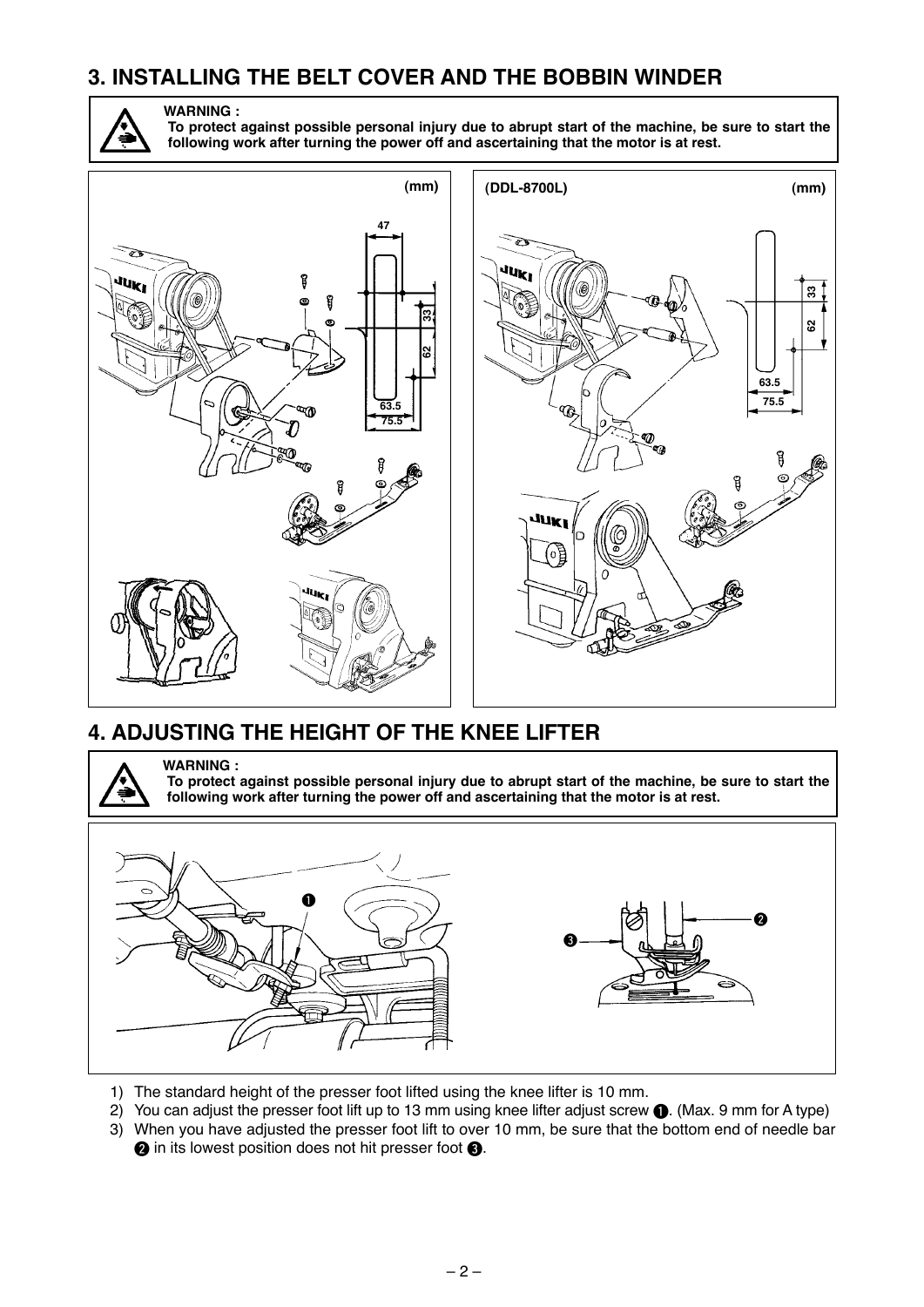#### <span id="page-3-0"></span>**3. INSTALLING THE BELT COVER AND THE BOBBIN WINDER**



**WARNING : To protect against possible personal injury due to abrupt start of the machine, be sure to start the following work after turning the power off and ascertaining that the motor is at rest.**





### **4. ADJUSTING THE HEIGHT OF THE KNEE LIFTER**

**WARNING : To protect against possible personal injury due to abrupt start of the machine, be sure to start the following work after turning the power off and ascertaining that the motor is at rest.**



- 1) The standard height of the presser foot lifted using the knee lifter is 10 mm.
- 2) You can adjust the presser foot lift up to 13 mm using knee lifter adjust screw  $\bigcirc$ . (Max. 9 mm for A type)
- 3) When you have adjusted the presser foot lift to over 10 mm, be sure that the bottom end of needle bar **2** in its lowest position does not hit presser foot **3**.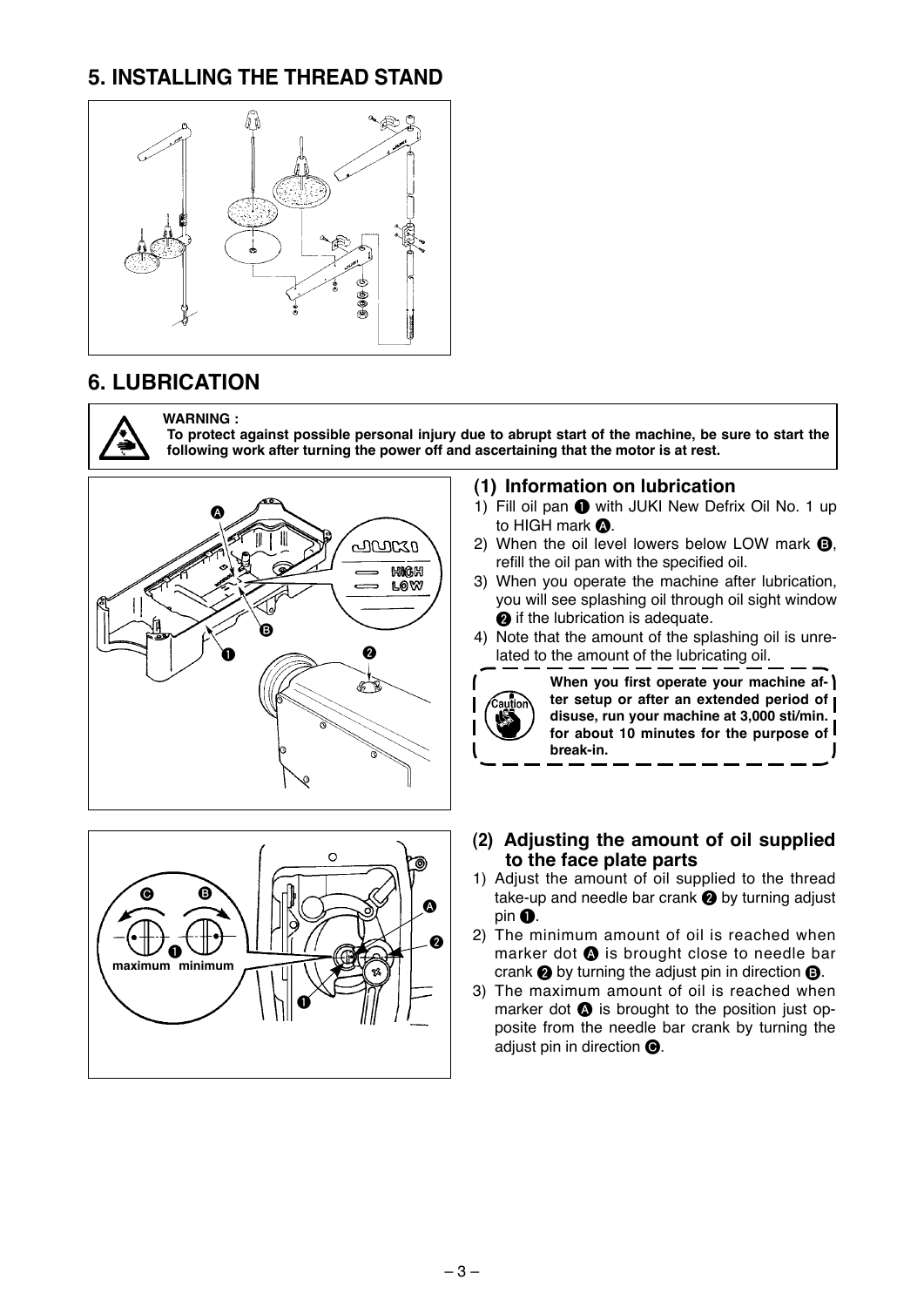### <span id="page-4-0"></span>**5. INSTALLING THE THREAD STAND**



#### **6. LUBRICATION**



#### **WARNING :**

**To protect against possible personal injury due to abrupt start of the machine, be sure to start the following work after turning the power off and ascertaining that the motor is at rest.**





#### **(1) Information on lubrication**

- 1) Fill oil pan  $\bigcirc$  with JUKI New Defrix Oil No. 1 up to HIGH mark  $\Omega$ .
- 2) When the oil level lowers below LOW mark  $\mathbf{\Theta}$ , refill the oil pan with the specified oil.
- 3) When you operate the machine after lubrication, you will see splashing oil through oil sight window **2** if the lubrication is adequate.
- 4) Note that the amount of the splashing oil is unrelated to the amount of the lubricating oil.



- **(2) Adjusting the amount of oil supplied to the face plate parts**
- 1) Adjust the amount of oil supplied to the thread take-up and needle bar crank  $\bullet$  by turning adjust  $pin ①$ .
- 2) The minimum amount of oil is reached when marker dot  $\bigcirc$  is brought close to needle bar crank  $\odot$  by turning the adjust pin in direction  $\odot$ .
- 3) The maximum amount of oil is reached when marker dot  $\bullet$  is brought to the position just opposite from the needle bar crank by turning the adjust pin in direction  $\bigcirc$ .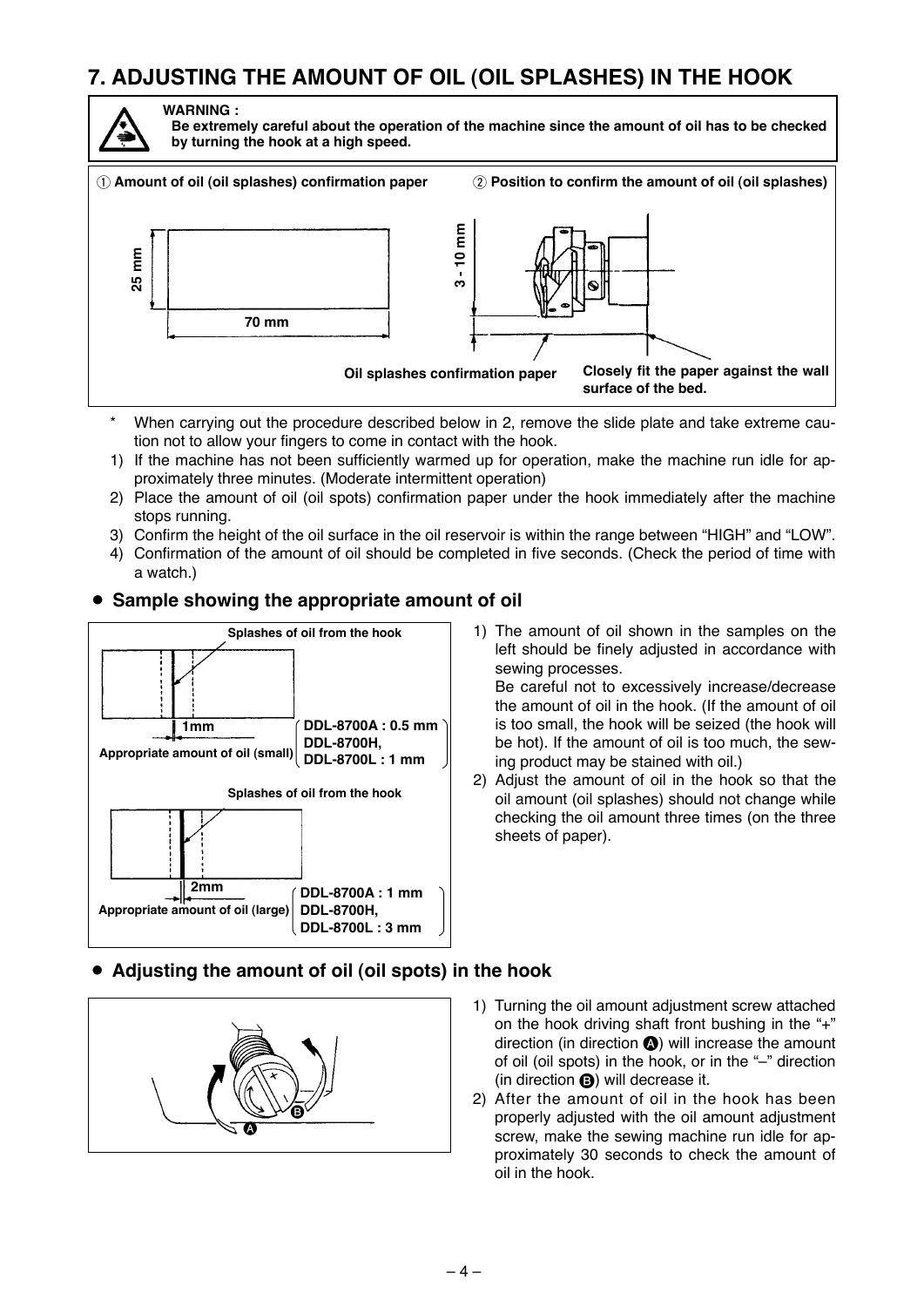### <span id="page-5-0"></span>**7. ADJUSTING THE AMOUNT OF OIL (OIL SPLASHES) IN THE HOOK**



**WARNING : Be extremely careful about the operation of the machine since the amount of oil has to be checked by turning the hook at a high speed.**



- When carrying out the procedure described below in 2, remove the slide plate and take extreme caution not to allow your fingers to come in contact with the hook.
- 1) If the machine has not been sufficiently warmed up for operation, make the machine run idle for approximately three minutes. (Moderate intermittent operation)
- 2) Place the amount of oil (oil spots) confirmation paper under the hook immediately after the machine stops running.
- 3) Confirm the height of the oil surface in the oil reservoir is within the range between "HIGH" and "LOW".
- 4) Confirmation of the amount of oil should be completed in five seconds. (Check the period of time with a watch.)

#### • Sample showing the appropriate amount of oil



1) The amount of oil shown in the samples on the left should be finely adjusted in accordance with sewing processes.

Be careful not to excessively increase/decrease the amount of oil in the hook. (If the amount of oil is too small, the hook will be seized (the hook will be hot). If the amount of oil is too much, the sew ing product may be stained with oil.)

2) Adjust the amount of oil in the hook so that the oil amount (oil splashes) should not change while checking the oil amount three times (on the three sheets of paper).

#### ¡ **Adjusting the amount of oil (oil spots) in the hook**



- 1) Turning the oil amount adjustment screw attached on the hook driving shaft front bushing in the "+" direction (in direction  $\bigcirc$ ) will increase the amount of oil (oil spots) in the hook, or in the "–" direction (in direction  $\bigcirc$ ) will decrease it.
- 2) After the amount of oil in the hook has been properly adjusted with the oil amount adjustment screw, make the sewing machine run idle for approximately 30 seconds to check the amount of oil in the hook.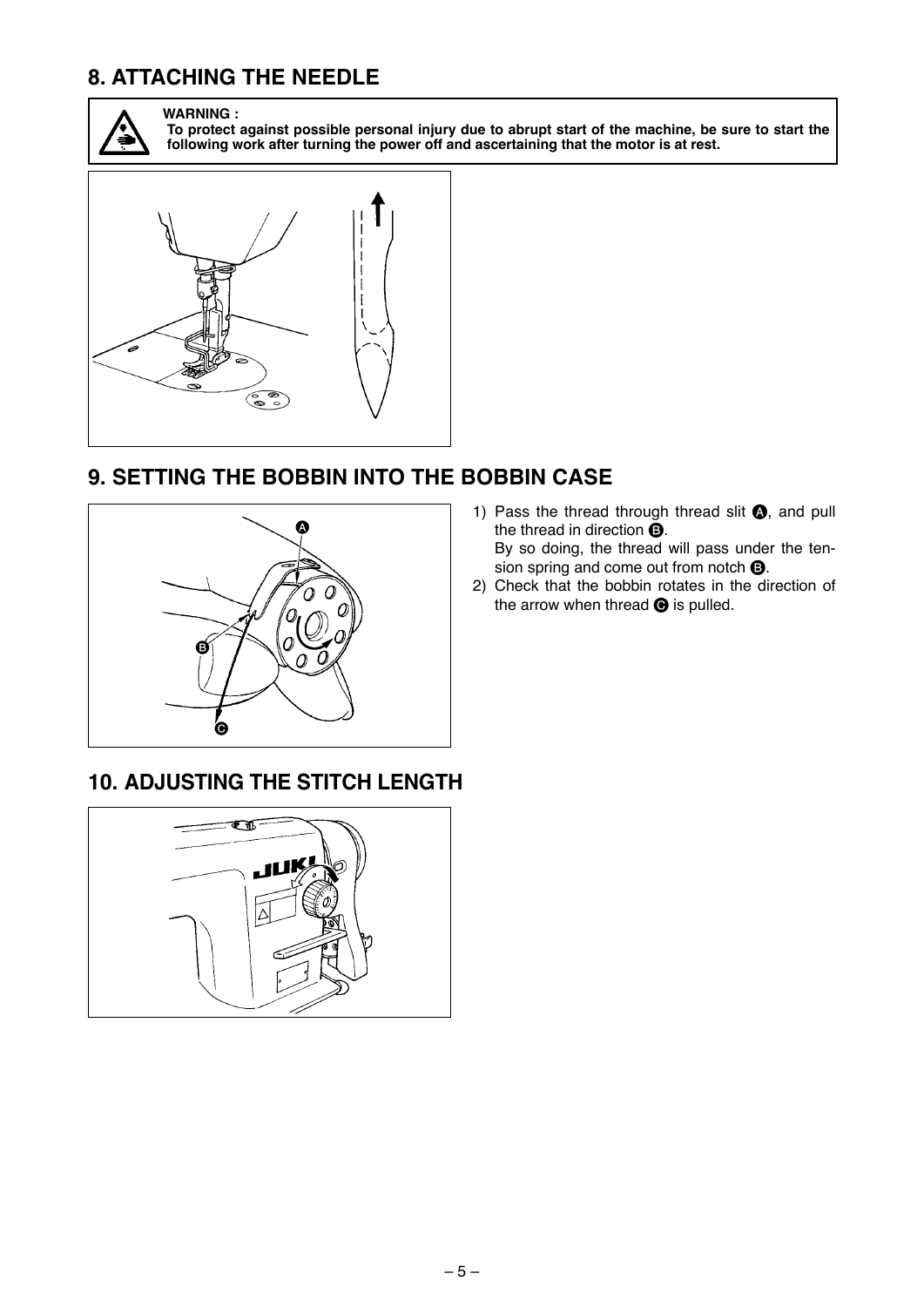### <span id="page-6-0"></span>**8. ATTACHING THE NEEDLE**



**WARNING :**

**To protect against possible personal injury due to abrupt start of the machine, be sure to start the following work after turning the power off and ascertaining that the motor is at rest.**



#### **9. SETTING THE BOBBIN INTO THE BOBBIN CASE**



- 1) Pass the thread through thread slit  $\bigcirc$ , and pull the thread in direction  $\mathbf{\Theta}$ . By so doing, the thread will pass under the tension spring and come out from notch  $\mathbf{\Theta}$ .
- 2) Check that the bobbin rotates in the direction of the arrow when thread  $\bigcirc$  is pulled.

#### **10. ADJUSTING THE STITCH LENGTH**

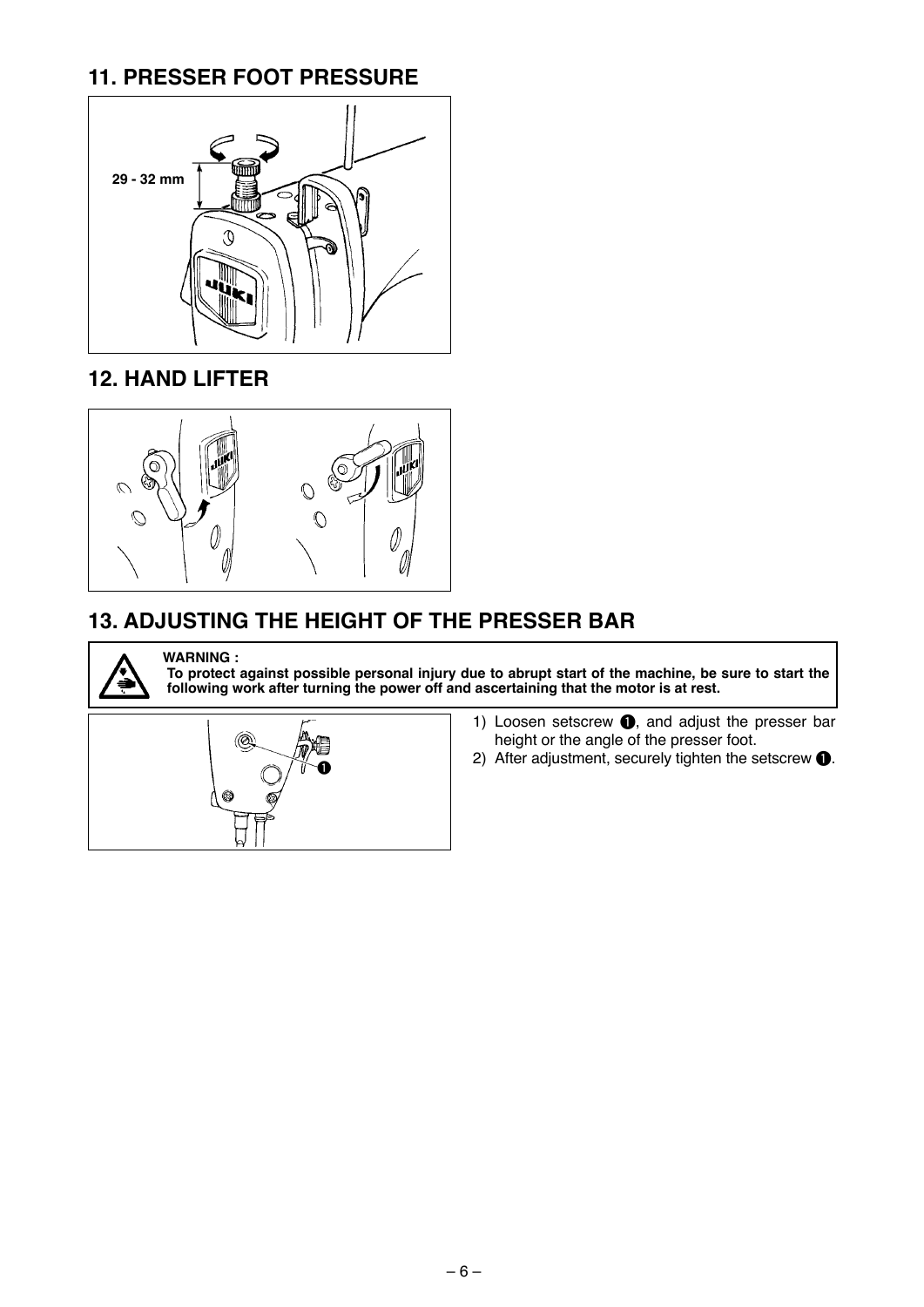### <span id="page-7-0"></span>**11. PRESSER FOOT PRESSURE**



#### **12. HAND LIFTER**



#### **13. ADJUSTING THE HEIGHT OF THE PRESSER BAR**



**WARNING : To protect against possible personal injury due to abrupt start of the machine, be sure to start the following work after turning the power off and ascertaining that the motor is at rest.**



- 1) Loosen setscrew  $\bigcirc$ , and adjust the presser bar height or the angle of the presser foot.
- 2) After adjustment, securely tighten the setscrew  $\bullet$ .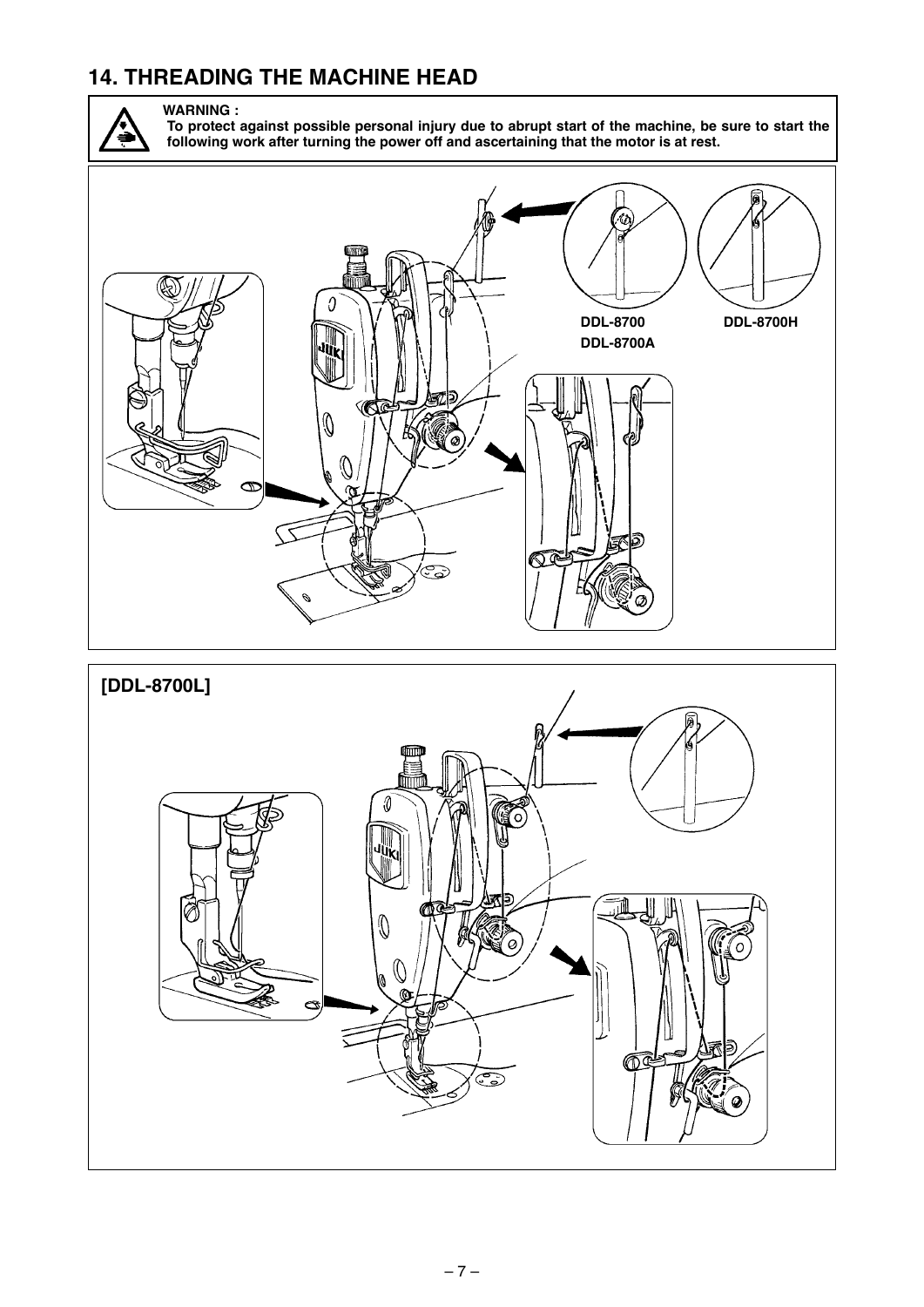### <span id="page-8-0"></span>**14. THREADING THE MACHINE HEAD**



**WARNING : To protect against possible personal injury due to abrupt start of the machine, be sure to start the following work after turning the power off and ascertaining that the motor is at rest.**



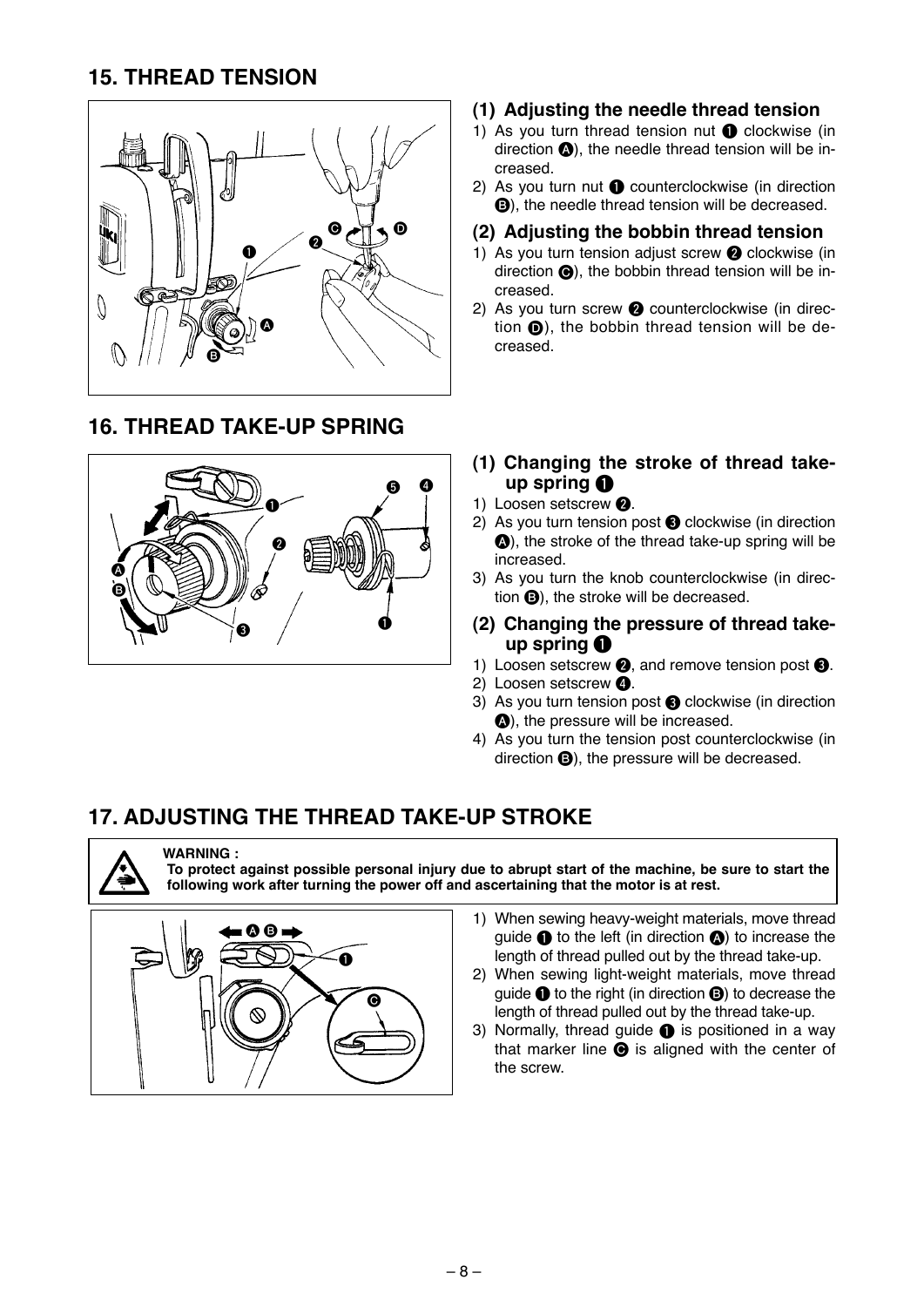### <span id="page-9-0"></span>**15. THREAD TENSION**



#### **16. THREAD TAKE-UP SPRING**



#### **(1) Adjusting the needle thread tension**

- 1) As you turn thread tension nut  $\bigcirc$  clockwise (in direction  $\bigcirc$ ), the needle thread tension will be increased.
- 2) As you turn nut  $\bigcirc$  counterclockwise (in direction **B**), the needle thread tension will be decreased.

#### **(2) Adjusting the bobbin thread tension**

- 1) As you turn tension adjust screw  $\bigcirc$  clockwise (in direction  $\bigcirc$ ), the bobbin thread tension will be increased.
- 2) As you turn screw  $\bullet$  counterclockwise (in direction  $\bigcirc$ ), the bobbin thread tension will be decreased.
- **(1) Changing the stroke of thread take**up spring **0**
- 1) Loosen setscrew <sup>2</sup>.
- 2) As you turn tension post  $\bigcirc$  clockwise (in direction A), the stroke of the thread take-up spring will be increased.
- 3) As you turn the knob counterclockwise (in direction  $\bigcirc$ ), the stroke will be decreased.
- **(2) Changing the pressure of thread take**up spring **0**
- 1) Loosen setscrew  $\bigcirc$ , and remove tension post  $\bigcirc$ .
- 2) Loosen setscrew <sup>4</sup>.
- 3) As you turn tension post **3** clockwise (in direction  $\bullet$ ), the pressure will be increased.
- 4) As you turn the tension post counterclockwise (in direction  $\bigoplus$ ), the pressure will be decreased.

#### **17. ADJUSTING THE THREAD TAKE-UP STROKE**



#### **WARNING :**

**To protect against possible personal injury due to abrupt start of the machine, be sure to start the following work after turning the power off and ascertaining that the motor is at rest.**



- 1) When sewing heavy-weight materials, move thread quide  $\bigcirc$  to the left (in direction  $\bigcirc$ ) to increase the length of thread pulled out by the thread take-up.
- 2) When sewing light-weight materials, move thread guide  $\bigcirc$  to the right (in direction  $\bigcirc$ ) to decrease the length of thread pulled out by the thread take-up.
- 3) Normally, thread quide  $\bullet$  is positioned in a way that marker line  $\bigcirc$  is aligned with the center of the screw.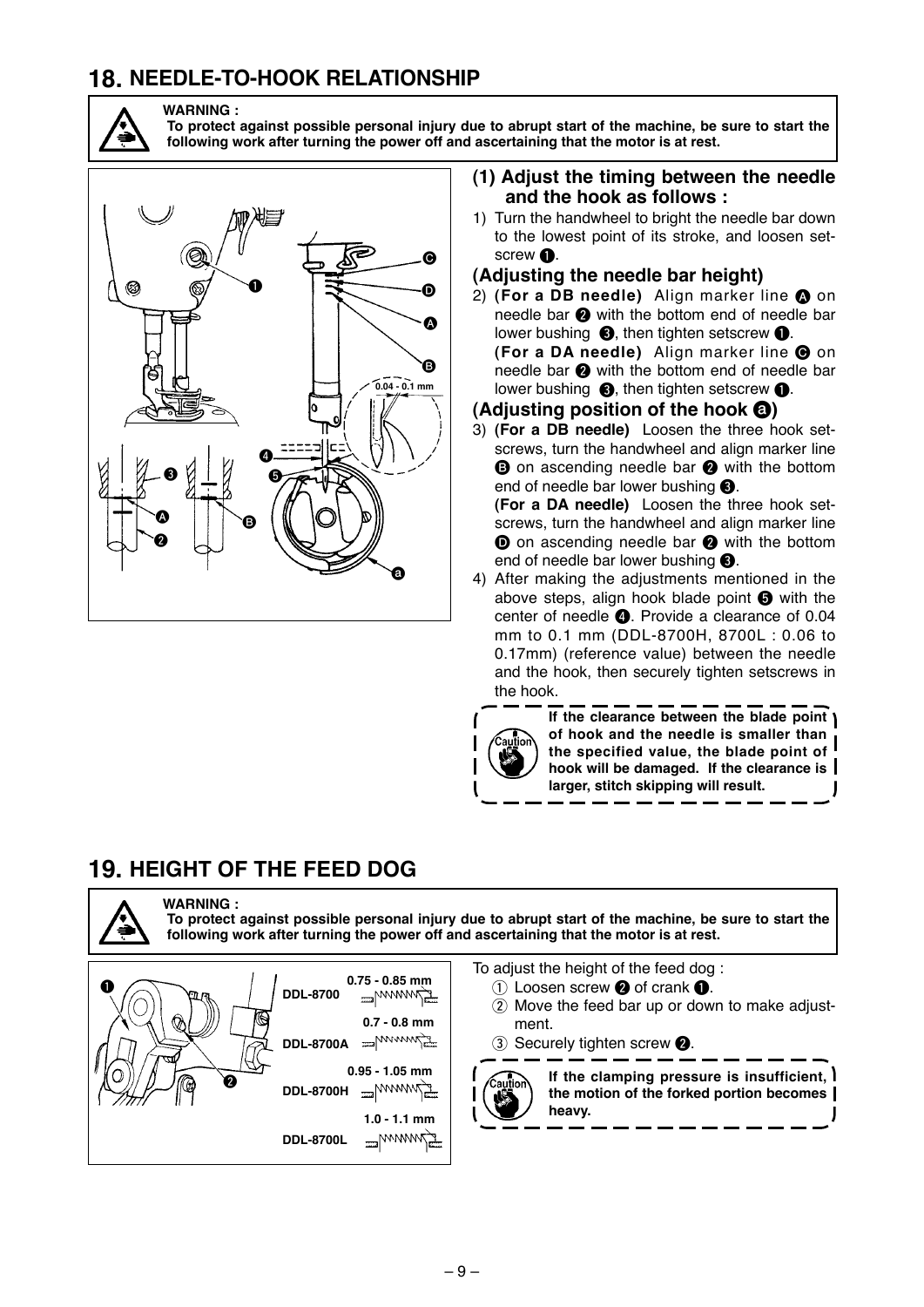### <span id="page-10-0"></span>**18. NEEDLE-TO-HOOK RELATIONSHIP**



**WARNING : To protect against possible personal injury due to abrupt start of the machine, be sure to start the following work after turning the power off and ascertaining that the motor is at rest.**



#### **(1) Adjust the timing between the needle and the hook as follows :**

1) Turn the handwheel to bright the needle bar down to the lowest point of its stroke, and loosen setscrew  $\mathbf{0}$ .

#### **(Adjusting the needle bar height)**

2) **(For a DB needle)** Align marker line  $\Omega$  on needle bar  $\bigcirc$  with the bottom end of needle bar lower bushing  $\bigcirc$ , then tighten setscrew  $\bigcirc$ . **(For a DA needle)** Align marker line  $\Theta$  on needle bar  $\odot$  with the bottom end of needle bar lower bushing  $\bigcirc$ , then tighten setscrew  $\bigcirc$ .

#### **(Adjusting position of the hook**  $\odot$ **)**

3) **(For a DB needle)** Loosen the three hook setscrews, turn the handwheel and align marker line **B** on ascending needle bar **2** with the bottom end of needle bar lower bushing  $\bigcirc$ .

**(For a DA needle)** Loosen the three hook setscrews, turn the handwheel and align marker line **O** on ascending needle bar **2** with the bottom end of needle bar lower bushing  $\bigcirc$ .

4) After making the adjustments mentioned in the above steps, align hook blade point  $\bigcirc$  with the center of needle  $\bullet$ . Provide a clearance of 0.04 mm to 0.1 mm (DDL-8700H, 8700L : 0.06 to 0.17mm) (reference value) between the needle and the hook, then securely tighten setscrews in the hook.



**If the clearance between the blade point of hook and the needle is smaller than the specified value, the blade point of hook will be damaged. If the clearance is larger, stitch skipping will result.**

#### **19. HEIGHT OF THE FEED DOG**

**WARNING : To protect against possible personal injury due to abrupt start of the machine, be sure to start the following work after turning the power off and ascertaining that the motor is at rest.**



To adjust the height of the feed dog :

- $(1)$  Loosen screw  $\bigcirc$  of crank  $\bigcirc$ .
- 2 Move the feed bar up or down to make adjustment.
- 3 Securely tighten screw <sup>2</sup>.



**If the clamping pressure is insufficient, the motion of the forked portion becomes heavy.**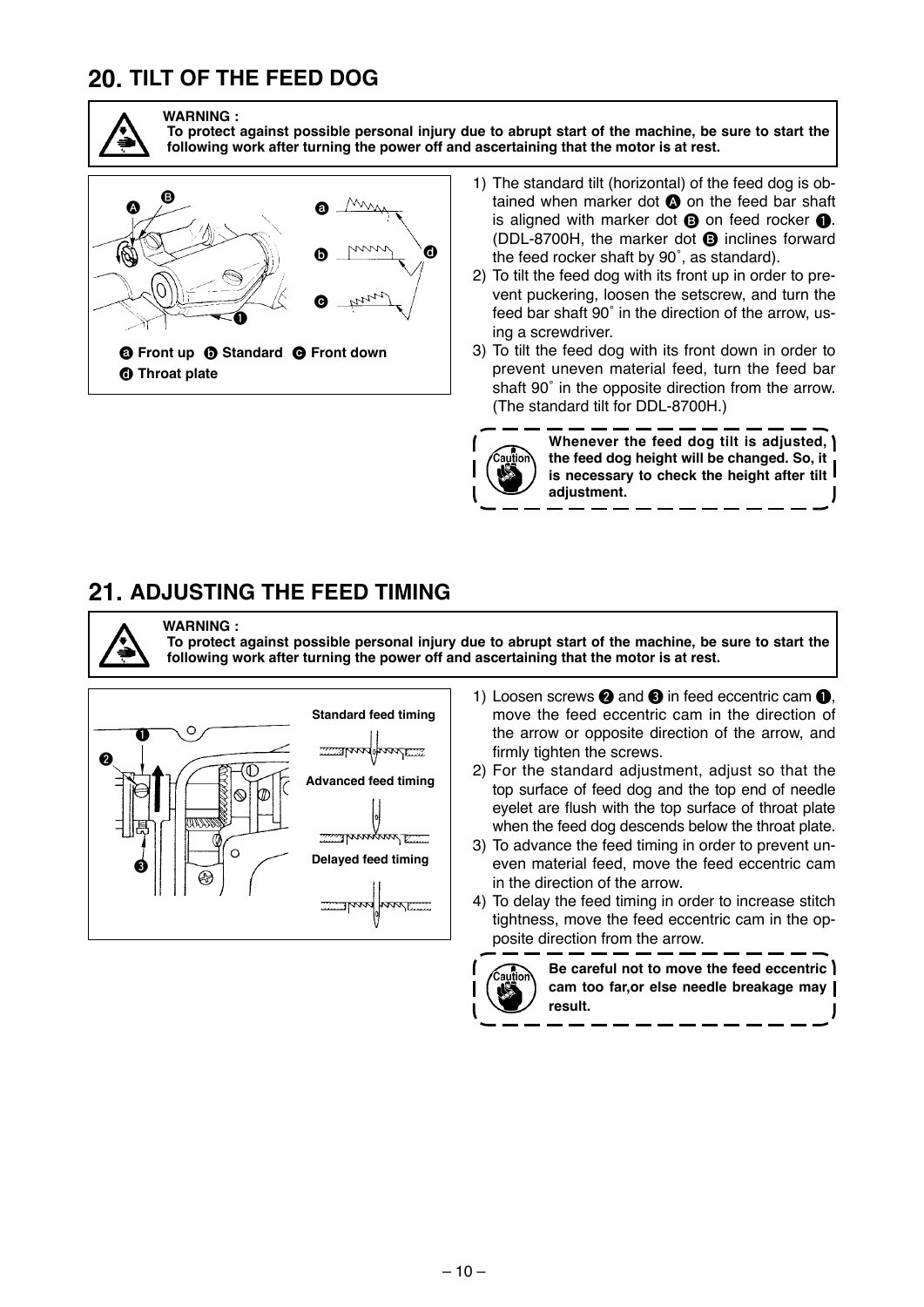### <span id="page-11-0"></span>**20. TILT OF THE FEED DOG**



**WARNING :**

**To protect against possible personal injury due to abrupt start of the machine, be sure to start the following work after turning the power off and ascertaining that the motor is at rest.**



1) The standard tilt (horizontal) of the feed dog is obtained when marker dot  $\Omega$  on the feed bar shaft is aligned with marker dot  $\mathbf \Theta$  on feed rocker  $\mathbf \Theta$ . (DDL-8700H, the marker dot  $\bullet$  inclines forward the feed rocker shaft by 90˚, as standard).

2) To tilt the feed dog with its front up in order to prevent puckering, loosen the setscrew, and turn the feed bar shaft 90˚ in the direction of the arrow, us ing a screwdriver.

3) To tilt the feed dog with its front down in order to prevent uneven material feed, turn the feed bar shaft 90˚ in the opposite direction from the arrow. (The standard tilt for DDL-8700H.)

**Whenever the feed dog tilt is adjusted, the feed dog height will be changed. So, it is necessary to check the height after tilt adjustment.**

#### **21. ADJUSTING THE FEED TIMING**

**WARNING : To protect against possible personal injury due to abrupt start of the machine, be sure to start the following work after turning the power off and ascertaining that the motor is at rest.**



1) Loosen screws  $\bullet$  and  $\bullet$  in feed eccentric cam  $\bullet$ . move the feed eccentric cam in the direction of the arrow or opposite direction of the arrow, and firmly tighten the screws.

2) For the standard adjustment, adjust so that the top surface of feed dog and the top end of needle eyelet are flush with the top surface of throat plate when the feed dog descends below the throat plate.

3) To advance the feed timing in order to prevent uneven material feed, move the feed eccentric cam in the direction of the arrow.

4) To delay the feed timing in order to increase stitch tightness, move the feed eccentric cam in the opposite direction from the arrow.



**Be careful not to move the feed eccentric cam too far,or else needle breakage may result.**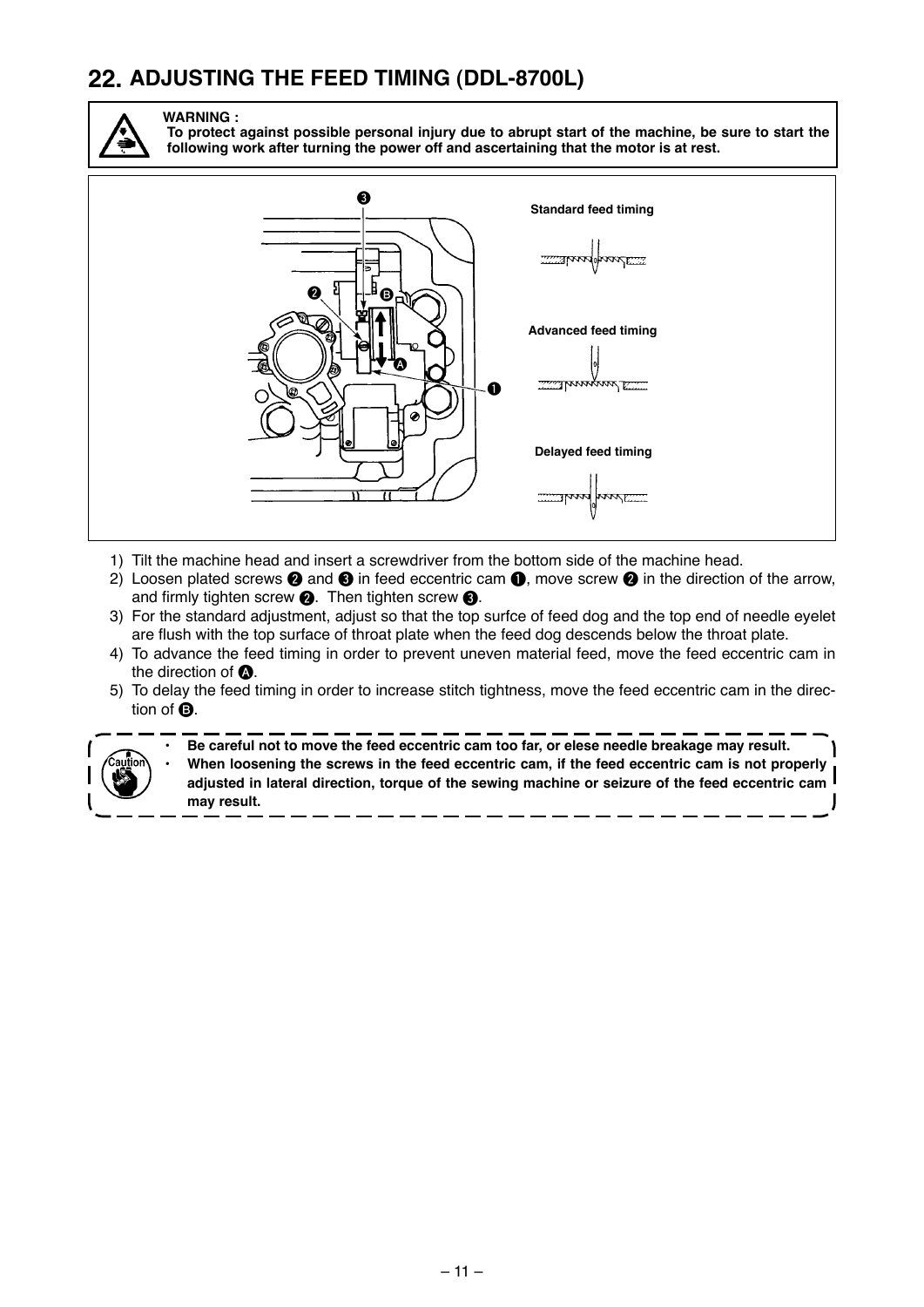### <span id="page-12-0"></span>**22. ADJUSTING THE FEED TIMING (DDL-8700L)**



**WARNING :**

**To protect against possible personal injury due to abrupt start of the machine, be sure to start the following work after turning the power off and ascertaining that the motor is at rest.**



- 1) Tilt the machine head and insert a screwdriver from the bottom side of the machine head.
- 2) Loosen plated screws  $\bullet$  and  $\bullet$  in feed eccentric cam  $\bullet$ , move screw  $\bullet$  in the direction of the arrow, and firmly tighten screw  $\bigcirc$ . Then tighten screw  $\bigcirc$ .
- 3) For the standard adjustment, adjust so that the top surfce of feed dog and the top end of needle eyelet are flush with the top surface of throat plate when the feed dog descends below the throat plate.
- 4) To advance the feed timing in order to prevent uneven material feed, move the feed eccentric cam in the direction of  $\spadesuit$ .
- 5) To delay the feed timing in order to increase stitch tightness, move the feed eccentric cam in the direction of **B**.



**• Be careful not to move the feed eccentric cam too far, or elese needle breakage may result. • When loosening the screws in the feed eccentric cam, if the feed eccentric cam is not properly adjusted in lateral direction, torque of the sewing machine or seizure of the feed eccentric cam may result.**